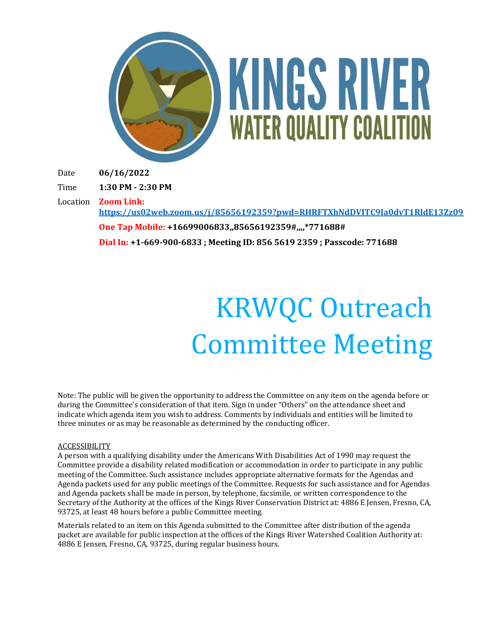

# **KINGS RIVER WATER QUALITY COALITION**

Date **06/16/2022**

Time **1:30 PM - 2:30 PM**

Location **Zoom Link:** 

**<https://us02web.zoom.us/j/85656192359?pwd=RHRFTXhNdDVITC9Ia0dvT1RldE13Zz09> One Tap Mobile: +16699006833,,85656192359#,,,,\*771688# Dial In: +1-669-900-6833 ; Meeting ID: 856 5619 2359 ; Passcode: 771688**

# KRWQC Outreach Committee Meeting

Note: The public will be given the opportunity to address the Committee on any item on the agenda before or during the Committee's consideration of that item. Sign in under "Others" on the attendance sheet and indicate which agenda item you wish to address. Comments by individuals and entities will be limited to three minutes or as may be reasonable as determined by the conducting officer.

#### **ACCESSIBILITY**

A person with a qualifying disability under the Americans With Disabilities Act of 1990 may request the Committee provide a disability related modification or accommodation in order to participate in any public meeting of the Committee. Such assistance includes appropriate alternative formats for the Agendas and Agenda packets used for any public meetings of the Committee. Requests for such assistance and for Agendas and Agenda packets shall be made in person, by telephone, facsimile, or written correspondence to the Secretary of the Authority at the offices of the Kings River Conservation District at: 4886 E Jensen, Fresno, CA, 93725, at least 48 hours before a public Committee meeting.

Materials related to an item on this Agenda submitted to the Committee after distribution of the agenda packet are available for public inspection at the offices of the Kings River Watershed Coalition Authority at: 4886 E Jensen, Fresno, CA, 93725, during regular business hours.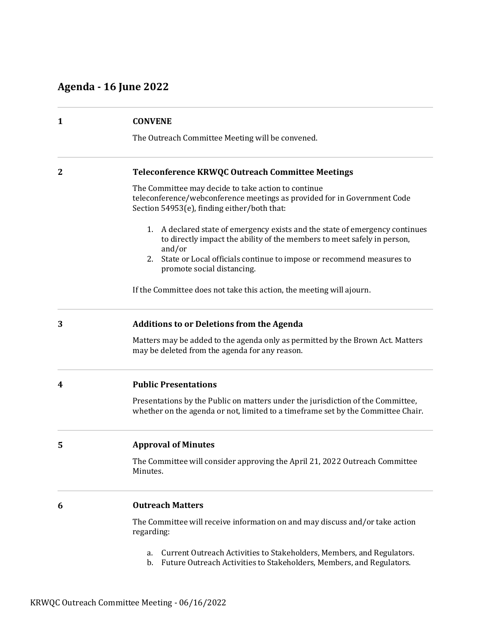# **Agenda - 16 June 2022**

| 1            | <b>CONVENE</b><br>The Outreach Committee Meeting will be convened.                                                                                                             |
|--------------|--------------------------------------------------------------------------------------------------------------------------------------------------------------------------------|
| $\mathbf{2}$ | Teleconference KRWQC Outreach Committee Meetings                                                                                                                               |
|              | The Committee may decide to take action to continue<br>teleconference/webconference meetings as provided for in Government Code<br>Section 54953(e), finding either/both that: |
|              | 1. A declared state of emergency exists and the state of emergency continues<br>to directly impact the ability of the members to meet safely in person,<br>and/or              |
|              | State or Local officials continue to impose or recommend measures to<br>2.<br>promote social distancing.                                                                       |
|              | If the Committee does not take this action, the meeting will ajourn.                                                                                                           |
| 3            | <b>Additions to or Deletions from the Agenda</b>                                                                                                                               |
|              | Matters may be added to the agenda only as permitted by the Brown Act. Matters<br>may be deleted from the agenda for any reason.                                               |
| 4            | <b>Public Presentations</b>                                                                                                                                                    |
|              | Presentations by the Public on matters under the jurisdiction of the Committee,<br>whether on the agenda or not, limited to a timeframe set by the Committee Chair.            |
| 5            | <b>Approval of Minutes</b>                                                                                                                                                     |
|              | The Committee will consider approving the April 21, 2022 Outreach Committee<br>Minutes.                                                                                        |
| 6            | <b>Outreach Matters</b>                                                                                                                                                        |
|              | The Committee will receive information on and may discuss and/or take action<br>regarding:                                                                                     |
|              | Current Outreach Activities to Stakeholders, Members, and Regulators.<br>a.                                                                                                    |

b. Future Outreach Activities to Stakeholders, Members, and Regulators.